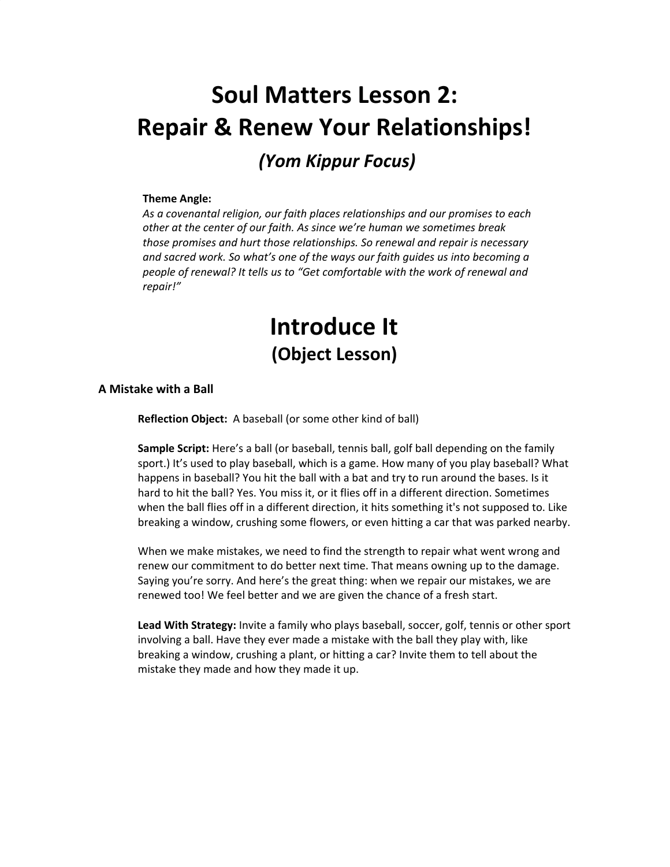# **Soul Matters Lesson 2: Repair & Renew Your Relationships!** *(Yom Kippur Focus)*

#### **Theme Angle:**

*As a covenantal religion, our faith places relationships and our promises to each other at the center of our faith. As since we're human we sometimes break those promises and hurt those relationships. So renewal and repair is necessary and sacred work. So what's one of the ways our faith guides us into becoming a people of renewal? It tells us to "Get comfortable with the work of renewal and repair!"*

# **Introduce It (Object Lesson)**

### **A Mistake with a Ball**

**Reflection Object:** A baseball (or some other kind of ball)

**Sample Script:** Here's a ball (or baseball, tennis ball, golf ball depending on the family sport.) It's used to play baseball, which is a game. How many of you play baseball? What happens in baseball? You hit the ball with a bat and try to run around the bases. Is it hard to hit the ball? Yes. You miss it, or it flies off in a different direction. Sometimes when the ball flies off in a different direction, it hits something it's not supposed to. Like breaking a window, crushing some flowers, or even hitting a car that was parked nearby.

When we make mistakes, we need to find the strength to repair what went wrong and renew our commitment to do better next time. That means owning up to the damage. Saying you're sorry. And here's the great thing: when we repair our mistakes, we are renewed too! We feel better and we are given the chance of a fresh start.

**Lead With Strategy:** Invite a family who plays baseball, soccer, golf, tennis or other sport involving a ball. Have they ever made a mistake with the ball they play with, like breaking a window, crushing a plant, or hitting a car? Invite them to tell about the mistake they made and how they made it up.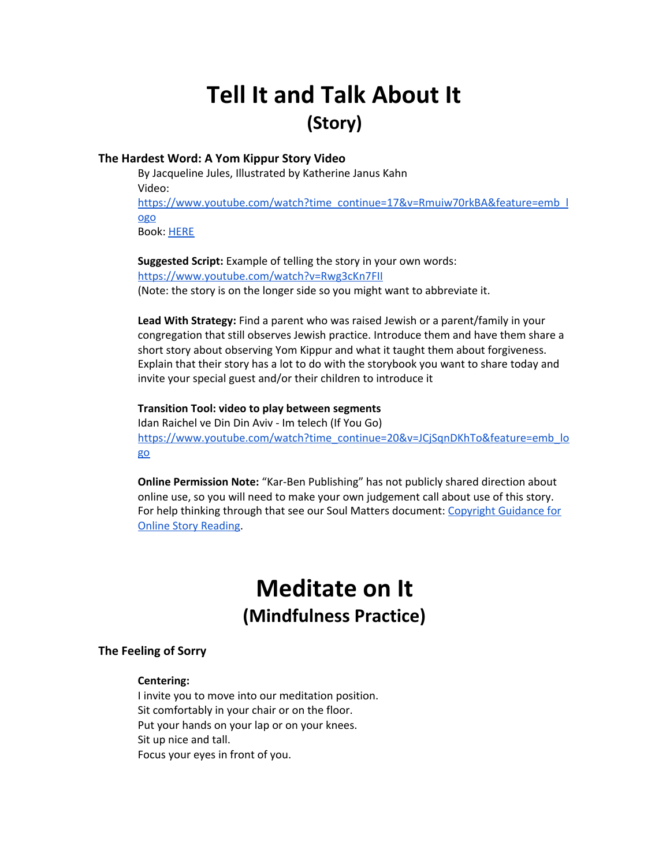# **Tell It and Talk About It (Story)**

### **The Hardest Word: A Yom Kippur Story Video**

By Jacqueline Jules, Illustrated by Katherine Janus Kahn Video: [https://www.youtube.com/watch?time\\_continue=17&v=Rmuiw70rkBA&feature=emb\\_l](https://www.youtube.com/watch?time_continue=17&v=Rmuiw70rkBA&feature=emb_logo) [ogo](https://www.youtube.com/watch?time_continue=17&v=Rmuiw70rkBA&feature=emb_logo) Book: [HERE](https://www.amazon.com/Hardest-Word-Yom-Kippur-Story/dp/1580130283/ref=sr_1_1?crid=HH1KY99E0RMY&dchild=1&keywords=the+hardest+word+a+yom+kippur+story&qid=1593732533&sprefix=The+Hardest+word%2Caps%2C170&sr=8-1)

**Suggested Script:** Example of telling the story in your own words: <https://www.youtube.com/watch?v=Rwg3cKn7FII> (Note: the story is on the longer side so you might want to abbreviate it.

**Lead With Strategy:** Find a parent who was raised Jewish or a parent/family in your congregation that still observes Jewish practice. Introduce them and have them share a short story about observing Yom Kippur and what it taught them about forgiveness. Explain that their story has a lot to do with the storybook you want to share today and invite your special guest and/or their children to introduce it

**Transition Tool: video to play between segments** Idan Raichel ve Din Din Aviv - Im telech (If You Go) [https://www.youtube.com/watch?time\\_continue=20&v=JCjSqnDKhTo&feature=emb\\_lo](https://www.youtube.com/watch?time_continue=20&v=JCjSqnDKhTo&feature=emb_logo) [go](https://www.youtube.com/watch?time_continue=20&v=JCjSqnDKhTo&feature=emb_logo)

**Online Permission Note:** "Kar-Ben Publishing" has not publicly shared direction about online use, so you will need to make your own judgement call about use of this story. For help thinking through that see our Soul Matters document: [Copyright](https://docs.google.com/document/d/1KpTuqy-KqBATYArHr69mxjBDrqprERPA9ti7n5L_Ph4/edit?usp=sharing) Guidance for Online Story [Reading.](https://docs.google.com/document/d/1KpTuqy-KqBATYArHr69mxjBDrqprERPA9ti7n5L_Ph4/edit?usp=sharing)

## **Meditate on It (Mindfulness Practice)**

### **The Feeling of Sorry**

### **Centering:**

I invite you to move into our meditation position. Sit comfortably in your chair or on the floor. Put your hands on your lap or on your knees. Sit up nice and tall. Focus your eyes in front of you.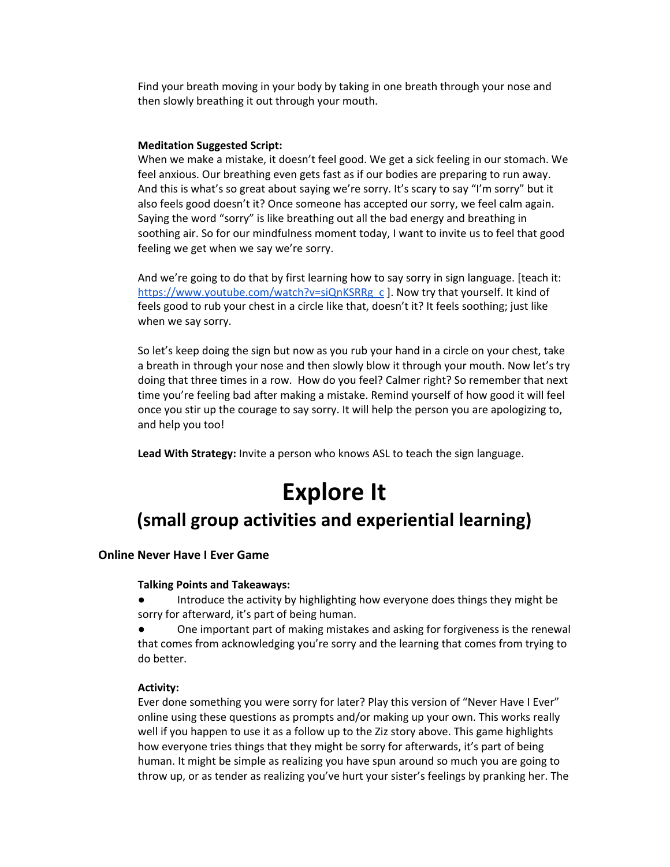Find your breath moving in your body by taking in one breath through your nose and then slowly breathing it out through your mouth.

### **Meditation Suggested Script:**

When we make a mistake, it doesn't feel good. We get a sick feeling in our stomach. We feel anxious. Our breathing even gets fast as if our bodies are preparing to run away. And this is what's so great about saying we're sorry. It's scary to say "I'm sorry" but it also feels good doesn't it? Once someone has accepted our sorry, we feel calm again. Saying the word "sorry" is like breathing out all the bad energy and breathing in soothing air. So for our mindfulness moment today, I want to invite us to feel that good feeling we get when we say we're sorry.

And we're going to do that by first learning how to say sorry in sign language. [teach it: [https://www.youtube.com/watch?v=siQnKSRRg\\_c](https://www.youtube.com/watch?v=siQnKSRRg_c) ]. Now try that yourself. It kind of feels good to rub your chest in a circle like that, doesn't it? It feels soothing; just like when we say sorry.

So let's keep doing the sign but now as you rub your hand in a circle on your chest, take a breath in through your nose and then slowly blow it through your mouth. Now let's try doing that three times in a row. How do you feel? Calmer right? So remember that next time you're feeling bad after making a mistake. Remind yourself of how good it will feel once you stir up the courage to say sorry. It will help the person you are apologizing to, and help you too!

**Lead With Strategy:** Invite a person who knows ASL to teach the sign language.

## **Explore It (small group activities and experiential learning)**

### **Online Never Have I Ever Game**

### **Talking Points and Takeaways:**

Introduce the activity by highlighting how everyone does things they might be sorry for afterward, it's part of being human.

One important part of making mistakes and asking for forgiveness is the renewal that comes from acknowledging you're sorry and the learning that comes from trying to do better.

### **Activity:**

Ever done something you were sorry for later? Play this version of "Never Have I Ever" online using these questions as prompts and/or making up your own. This works really well if you happen to use it as a follow up to the Ziz story above. This game highlights how everyone tries things that they might be sorry for afterwards, it's part of being human. It might be simple as realizing you have spun around so much you are going to throw up, or as tender as realizing you've hurt your sister's feelings by pranking her. The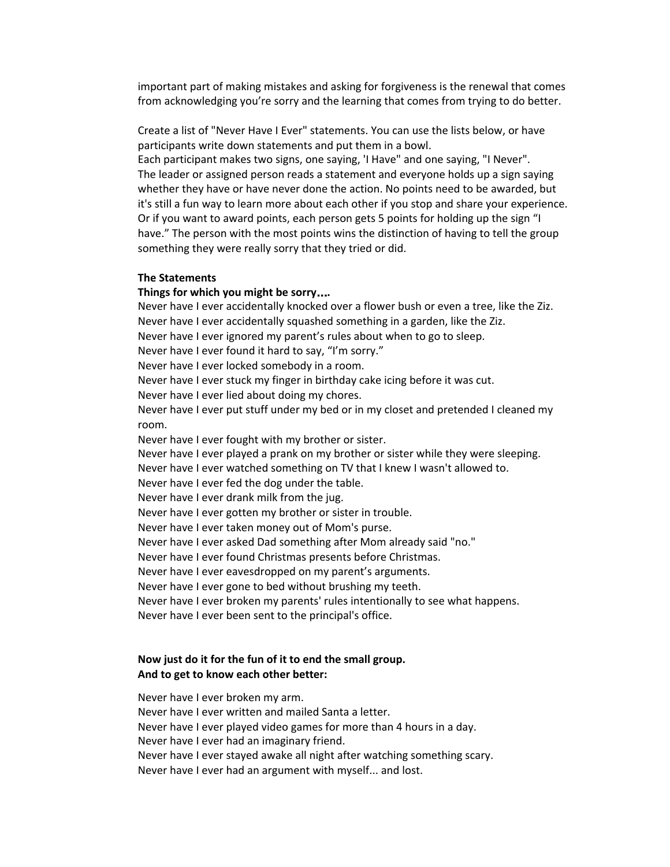important part of making mistakes and asking for forgiveness is the renewal that comes from acknowledging you're sorry and the learning that comes from trying to do better.

Create a list of "Never Have I Ever" statements. You can use the lists below, or have participants write down statements and put them in a bowl.

Each participant makes two signs, one saying, 'I Have" and one saying, "I Never". The leader or assigned person reads a statement and everyone holds up a sign saying whether they have or have never done the action. No points need to be awarded, but it's still a fun way to learn more about each other if you stop and share your experience. Or if you want to award points, each person gets 5 points for holding up the sign "I have." The person with the most points wins the distinction of having to tell the group something they were really sorry that they tried or did.

#### **The Statements**

#### **Things for which you might be sorry**…**.**

Never have I ever accidentally knocked over a flower bush or even a tree, like the Ziz. Never have I ever accidentally squashed something in a garden, like the Ziz. Never have I ever ignored my parent's rules about when to go to sleep. Never have I ever found it hard to say, "I'm sorry." Never have I ever locked somebody in a room. Never have I ever stuck my finger in birthday cake icing before it was cut. Never have I ever lied about doing my chores. Never have I ever put stuff under my bed or in my closet and pretended I cleaned my room. Never have I ever fought with my brother or sister. Never have I ever played a prank on my brother or sister while they were sleeping. Never have I ever watched something on TV that I knew I wasn't allowed to. Never have I ever fed the dog under the table. Never have I ever drank milk from the jug. Never have I ever gotten my brother or sister in trouble. Never have I ever taken money out of Mom's purse. Never have I ever asked Dad something after Mom already said "no." Never have I ever found Christmas presents before Christmas. Never have I ever eavesdropped on my parent's arguments. Never have I ever gone to bed without brushing my teeth. Never have I ever broken my parents' rules intentionally to see what happens. Never have I ever been sent to the principal's office.

### **Now just do it for the fun of it to end the small group. And to get to know each other better:**

Never have I ever broken my arm. Never have I ever written and mailed Santa a letter. Never have I ever played video games for more than 4 hours in a day. Never have I ever had an imaginary friend. Never have I ever stayed awake all night after watching something scary. Never have I ever had an argument with myself... and lost.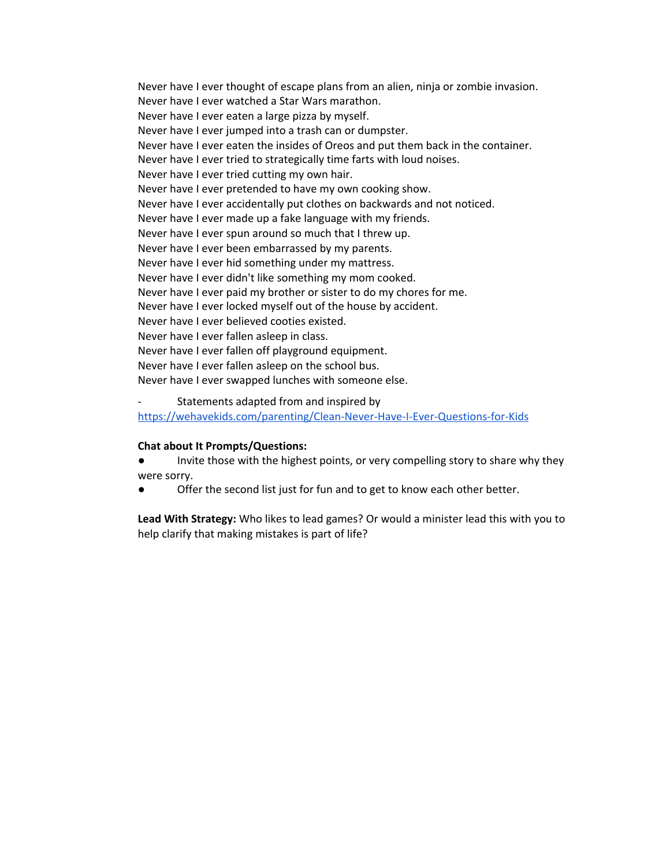Never have I ever thought of escape plans from an alien, ninja or zombie invasion. Never have I ever watched a Star Wars marathon. Never have I ever eaten a large pizza by myself. Never have I ever jumped into a trash can or dumpster. Never have I ever eaten the insides of Oreos and put them back in the container. Never have I ever tried to strategically time farts with loud noises. Never have I ever tried cutting my own hair. Never have I ever pretended to have my own cooking show. Never have I ever accidentally put clothes on backwards and not noticed. Never have I ever made up a fake language with my friends. Never have I ever spun around so much that I threw up. Never have I ever been embarrassed by my parents. Never have I ever hid something under my mattress. Never have I ever didn't like something my mom cooked. Never have I ever paid my brother or sister to do my chores for me. Never have I ever locked myself out of the house by accident. Never have I ever believed cooties existed. Never have I ever fallen asleep in class. Never have I ever fallen off playground equipment. Never have I ever fallen asleep on the school bus. Never have I ever swapped lunches with someone else.

Statements adapted from and inspired by

<https://wehavekids.com/parenting/Clean-Never-Have-I-Ever-Questions-for-Kids>

#### **Chat about It Prompts/Questions:**

● Invite those with the highest points, or very compelling story to share why they were sorry.

Offer the second list just for fun and to get to know each other better.

**Lead With Strategy:** Who likes to lead games? Or would a minister lead this with you to help clarify that making mistakes is part of life?